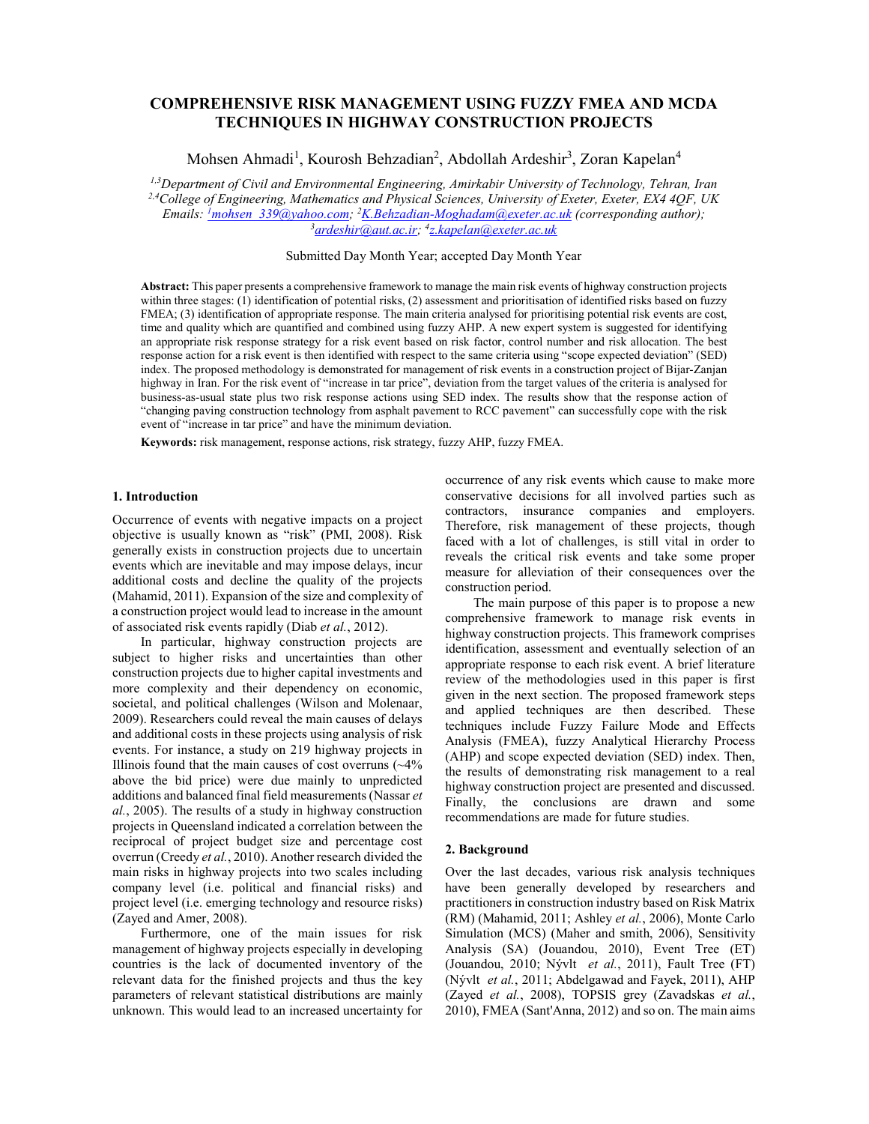# **COMPREHENSIVE RISK MANAGEMENT USING FUZZY FMEA AND MCDA TECHNIQUES IN HIGHWAY CONSTRUCTION PROJECTS**

Mohsen Ahmadi<sup>1</sup>, Kourosh Behzadian<sup>2</sup>, Abdollah Ardeshir<sup>3</sup>, Zoran Kapelan<sup>4</sup>

*1,3Department of Civil and Environmental Engineering, Amirkabir University of Technology, Tehran, Iran* 

*2,4College of Engineering, Mathematics and Physical Sciences, University of Exeter, Exeter, EX4 4QF, UK Emails: <sup>1</sup>mohsen\_339@yahoo.com; <sup>2</sup>K.Behzadian-Moghadam@exeter.ac.uk (corresponding author);* 3*3 ardeshir@aut ac.ir: 47 kanelan@exeter.ac.uk (corresponding author); ardeshir@aut.ac.ir; 4 z.kapelan@exeter.ac.uk*

## Submitted Day Month Year; accepted Day Month Year

**Abstract:** This paper presents a comprehensive framework to manage the main risk events of highway construction projects within three stages: (1) identification of potential risks, (2) assessment and prioritisation of identified risks based on fuzzy FMEA; (3) identification of appropriate response. The main criteria analysed for prioritising potential risk events are cost, time and quality which are quantified and combined using fuzzy AHP. A new expert system is suggested for identifying an appropriate risk response strategy for a risk event based on risk factor, control number and risk allocation. The best response action for a risk event is then identified with respect to the same criteria using "scope expected deviation" (SED) index. The proposed methodology is demonstrated for management of risk events in a construction project of Bijar-Zanjan highway in Iran. For the risk event of "increase in tar price", deviation from the target values of the criteria is analysed for business-as-usual state plus two risk response actions using SED index. The results show that the response action of "changing paving construction technology from asphalt pavement to RCC pavement" can successfully cope with the risk event of "increase in tar price" and have the minimum deviation.

**Keywords:** risk management, response actions, risk strategy, fuzzy AHP, fuzzy FMEA.

#### **1. Introduction**

Occurrence of events with negative impacts on a project objective is usually known as "risk" (PMI, 2008). Risk generally exists in construction projects due to uncertain events which are inevitable and may impose delays, incur additional costs and decline the quality of the projects (Mahamid, 2011). Expansion of the size and complexity of a construction project would lead to increase in the amount of associated risk events rapidly (Diab *et al.*, 2012).

In particular, highway construction projects are subject to higher risks and uncertainties than other construction projects due to higher capital investments and more complexity and their dependency on economic, societal, and political challenges (Wilson and Molenaar, 2009). Researchers could reveal the main causes of delays and additional costs in these projects using analysis of risk events. For instance, a study on 219 highway projects in Illinois found that the main causes of cost overruns  $(\sim4\%$ above the bid price) were due mainly to unpredicted additions and balanced final field measurements (Nassar *et al.*, 2005). The results of a study in highway construction projects in Queensland indicated a correlation between the reciprocal of project budget size and percentage cost overrun (Creedy *et al.*, 2010). Another research divided the main risks in highway projects into two scales including company level (i.e. political and financial risks) and project level (i.e. emerging technology and resource risks) (Zayed and Amer, 2008).

Furthermore, one of the main issues for risk management of highway projects especially in developing countries is the lack of documented inventory of the relevant data for the finished projects and thus the key parameters of relevant statistical distributions are mainly unknown. This would lead to an increased uncertainty for

occurrence of any risk events which cause to make more conservative decisions for all involved parties such as contractors, insurance companies and employers. Therefore, risk management of these projects, though faced with a lot of challenges, is still vital in order to reveals the critical risk events and take some proper measure for alleviation of their consequences over the construction period.

The main purpose of this paper is to propose a new comprehensive framework to manage risk events in highway construction projects. This framework comprises identification, assessment and eventually selection of an appropriate response to each risk event. A brief literature review of the methodologies used in this paper is first given in the next section. The proposed framework steps and applied techniques are then described. These techniques include Fuzzy Failure Mode and Effects Analysis (FMEA), fuzzy Analytical Hierarchy Process (AHP) and scope expected deviation (SED) index. Then, the results of demonstrating risk management to a real highway construction project are presented and discussed. Finally, the conclusions are drawn and some recommendations are made for future studies.

#### **2. Background**

Over the last decades, various risk analysis techniques have been generally developed by researchers and practitioners in construction industry based on Risk Matrix (RM) (Mahamid, 2011; Ashley *et al.*, 2006), Monte Carlo Simulation (MCS) (Maher and smith, 2006), Sensitivity Analysis (SA) (Jouandou, 2010), Event Tree (ET) (Jouandou, 2010; Nývlt *et al.*, 2011), Fault Tree (FT) (Nývlt *et al.*, 2011; Abdelgawad and Fayek, 2011), AHP (Zayed *et al.*, 2008), TOPSIS grey (Zavadskas *et al.*, 2010), FMEA (Sant'Anna, 2012) and so on. The main aims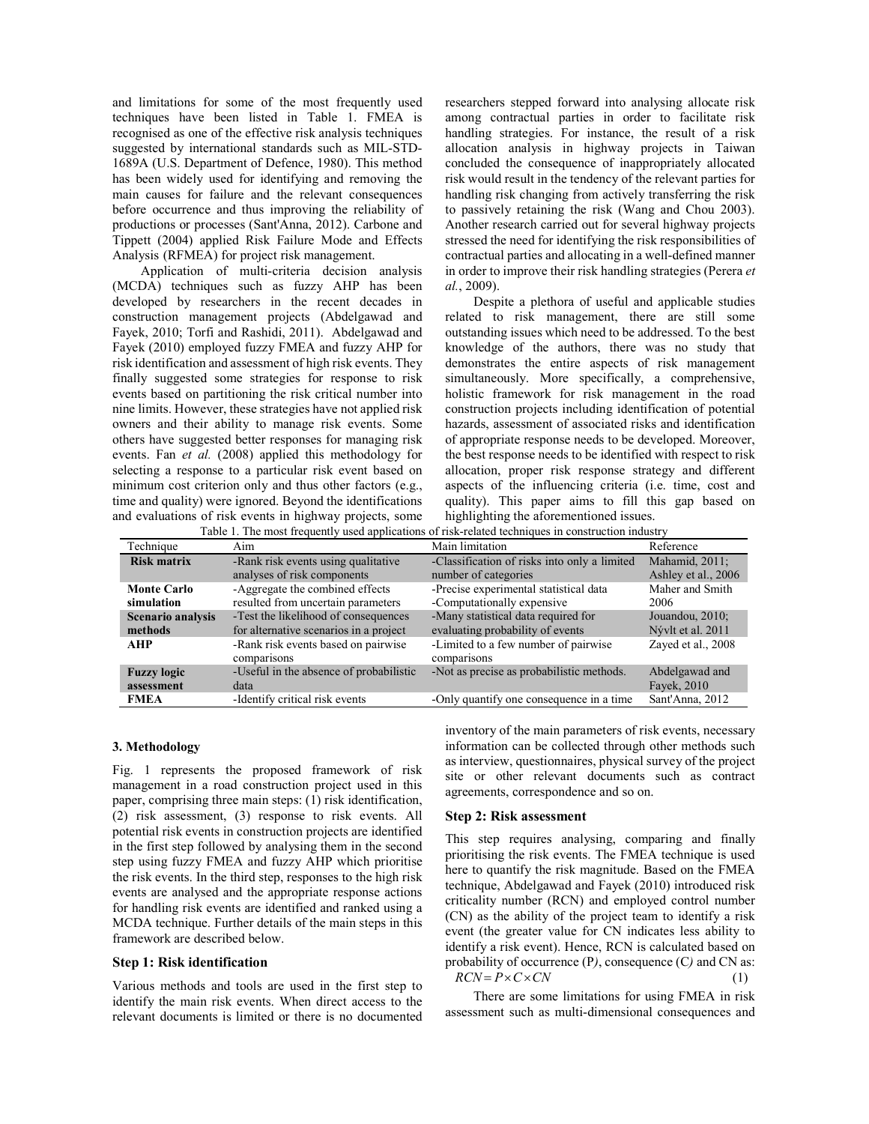and limitations for some of the most frequently used techniques have been listed in Table 1. FMEA is recognised as one of the effective risk analysis techniques suggested by international standards such as MIL-STD-1689A (U.S. Department of Defence, 1980). This method has been widely used for identifying and removing the main causes for failure and the relevant consequences before occurrence and thus improving the reliability of productions or processes (Sant'Anna, 2012). Carbone and Tippett (2004) applied Risk Failure Mode and Effects Analysis (RFMEA) for project risk management.

Application of multi-criteria decision analysis (MCDA) techniques such as fuzzy AHP has been developed by researchers in the recent decades in construction management projects (Abdelgawad and Fayek, 2010; Torfi and Rashidi, 2011). Abdelgawad and Fayek (2010) employed fuzzy FMEA and fuzzy AHP for risk identification and assessment of high risk events. They finally suggested some strategies for response to risk events based on partitioning the risk critical number into nine limits. However, these strategies have not applied risk owners and their ability to manage risk events. Some others have suggested better responses for managing risk events. Fan *et al.* (2008) applied this methodology for selecting a response to a particular risk event based on minimum cost criterion only and thus other factors (e.g., time and quality) were ignored. Beyond the identifications and evaluations of risk events in highway projects, some Table 1. The most frequently used applications of risk-related techniques in construction industry

researchers stepped forward into analysing allocate risk among contractual parties in order to facilitate risk handling strategies. For instance, the result of a risk allocation analysis in highway projects in Taiwan concluded the consequence of inappropriately allocated risk would result in the tendency of the relevant parties for handling risk changing from actively transferring the risk to passively retaining the risk (Wang and Chou 2003). Another research carried out for several highway projects stressed the need for identifying the risk responsibilities of contractual parties and allocating in a well-defined manner in order to improve their risk handling strategies (Perera *et al.*, 2009).

Despite a plethora of useful and applicable studies related to risk management, there are still some outstanding issues which need to be addressed. To the best knowledge of the authors, there was no study that demonstrates the entire aspects of risk management simultaneously. More specifically, a comprehensive, holistic framework for risk management in the road construction projects including identification of potential hazards, assessment of associated risks and identification of appropriate response needs to be developed. Moreover, the best response needs to be identified with respect to risk allocation, proper risk response strategy and different aspects of the influencing criteria (i.e. time, cost and quality). This paper aims to fill this gap based on highlighting the aforementioned issues.

| Technique                | Aim                                     | Main limitation                              | Reference           |
|--------------------------|-----------------------------------------|----------------------------------------------|---------------------|
| <b>Risk matrix</b>       | -Rank risk events using qualitative     | -Classification of risks into only a limited | Mahamid, 2011;      |
|                          | analyses of risk components             | number of categories                         | Ashley et al., 2006 |
| <b>Monte Carlo</b>       | -Aggregate the combined effects         | -Precise experimental statistical data       | Maher and Smith     |
| simulation               | resulted from uncertain parameters      | -Computationally expensive                   | 2006                |
| <b>Scenario analysis</b> | -Test the likelihood of consequences    | -Many statistical data required for          | Jouandou, 2010;     |
| methods                  | for alternative scenarios in a project  | evaluating probability of events             | Nývlt et al. 2011   |
| AHP                      | -Rank risk events based on pairwise     | -Limited to a few number of pairwise         | Zaved et al., 2008  |
|                          | comparisons                             | comparisons                                  |                     |
| <b>Fuzzy logic</b>       | -Useful in the absence of probabilistic | -Not as precise as probabilistic methods.    | Abdelgawad and      |
| assessment               | data                                    |                                              | Fayek, 2010         |
| <b>FMEA</b>              | -Identify critical risk events          | -Only quantify one consequence in a time     | Sant'Anna, 2012     |

## **3. Methodology**

Fig. 1 represents the proposed framework of risk management in a road construction project used in this paper, comprising three main steps: (1) risk identification, (2) risk assessment, (3) response to risk events. All potential risk events in construction projects are identified in the first step followed by analysing them in the second step using fuzzy FMEA and fuzzy AHP which prioritise the risk events. In the third step, responses to the high risk events are analysed and the appropriate response actions for handling risk events are identified and ranked using a MCDA technique. Further details of the main steps in this framework are described below.

## **Step 1: Risk identification**

Various methods and tools are used in the first step to identify the main risk events. When direct access to the relevant documents is limited or there is no documented

inventory of the main parameters of risk events, necessary information can be collected through other methods such as interview, questionnaires, physical survey of the project site or other relevant documents such as contract agreements, correspondence and so on.

#### **Step 2: Risk assessment**

This step requires analysing, comparing and finally prioritising the risk events. The FMEA technique is used here to quantify the risk magnitude. Based on the FMEA technique, Abdelgawad and Fayek (2010) introduced risk criticality number (RCN) and employed control number (CN) as the ability of the project team to identify a risk event (the greater value for CN indicates less ability to identify a risk event). Hence, RCN is calculated based on probability of occurrence (P*)*, consequence (C*)* and CN as:  $RCN = P \times C \times CN$ 

There are some limitations for using FMEA in risk assessment such as multi-dimensional consequences and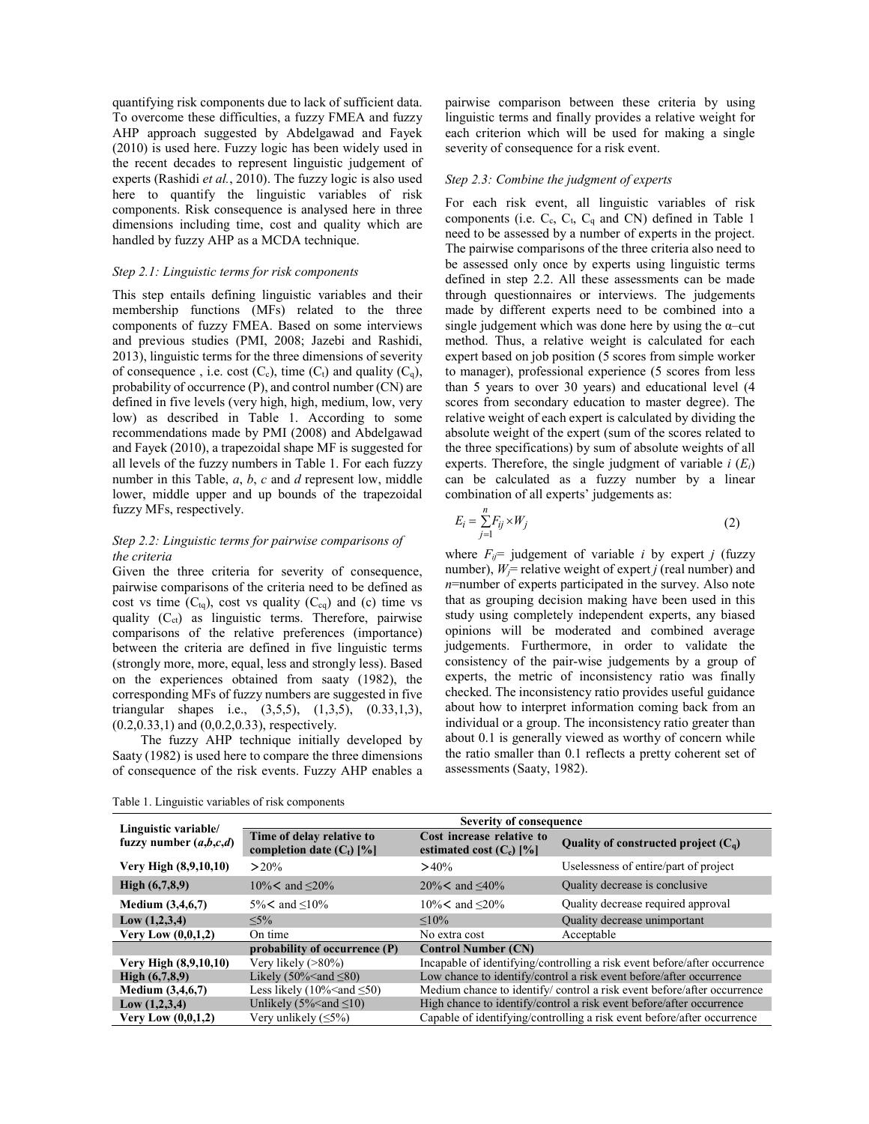quantifying risk components due to lack of sufficient data. To overcome these difficulties, a fuzzy FMEA and fuzzy AHP approach suggested by Abdelgawad and Fayek (2010) is used here. Fuzzy logic has been widely used in the recent decades to represent linguistic judgement of experts (Rashidi *et al.*, 2010). The fuzzy logic is also used here to quantify the linguistic variables of risk components. Risk consequence is analysed here in three dimensions including time, cost and quality which are handled by fuzzy AHP as a MCDA technique.

#### *Step 2.1: Linguistic terms for risk components*

This step entails defining linguistic variables and their membership functions (MFs) related to the three components of fuzzy FMEA. Based on some interviews and previous studies (PMI, 2008; Jazebi and Rashidi, 2013), linguistic terms for the three dimensions of severity of consequence , i.e. cost  $(C_c)$ , time  $(C_t)$  and quality  $(C_q)$ , probability of occurrence (P), and control number (CN) are defined in five levels (very high, high, medium, low, very low) as described in Table 1. According to some recommendations made by PMI (2008) and Abdelgawad and Fayek (2010), a trapezoidal shape MF is suggested for all levels of the fuzzy numbers in Table 1. For each fuzzy number in this Table, *a*, *b*, *c* and *d* represent low, middle lower, middle upper and up bounds of the trapezoidal fuzzy MFs, respectively.

## *Step 2.2: Linguistic terms for pairwise comparisons of the criteria*

Given the three criteria for severity of consequence, pairwise comparisons of the criteria need to be defined as cost vs time  $(C_{tq})$ , cost vs quality  $(C_{cq})$  and (c) time vs quality  $(C_{ct})$  as linguistic terms. Therefore, pairwise comparisons of the relative preferences (importance) between the criteria are defined in five linguistic terms (strongly more, more, equal, less and strongly less). Based on the experiences obtained from saaty (1982), the corresponding MFs of fuzzy numbers are suggested in five triangular shapes i.e., (3,5,5), (1,3,5), (0.33,1,3), (0.2,0.33,1) and (0,0.2,0.33), respectively.

The fuzzy AHP technique initially developed by Saaty (1982) is used here to compare the three dimensions of consequence of the risk events. Fuzzy AHP enables a

pairwise comparison between these criteria by using linguistic terms and finally provides a relative weight for each criterion which will be used for making a single severity of consequence for a risk event.

## *Step 2.3: Combine the judgment of experts*

For each risk event, all linguistic variables of risk components (i.e.  $C_c$ ,  $C_t$ ,  $C_q$  and CN) defined in Table 1 need to be assessed by a number of experts in the project. The pairwise comparisons of the three criteria also need to be assessed only once by experts using linguistic terms defined in step 2.2. All these assessments can be made through questionnaires or interviews. The judgements made by different experts need to be combined into a single judgement which was done here by using the  $\alpha$ –cut method. Thus, a relative weight is calculated for each expert based on job position (5 scores from simple worker to manager), professional experience (5 scores from less than 5 years to over 30 years) and educational level (4 scores from secondary education to master degree). The relative weight of each expert is calculated by dividing the absolute weight of the expert (sum of the scores related to the three specifications) by sum of absolute weights of all experts. Therefore, the single judgment of variable *i* (*Ei*) can be calculated as a fuzzy number by a linear combination of all experts' judgements as:

$$
E_i = \sum_{j=1}^{n} F_{ij} \times W_j \tag{2}
$$

where  $F_{ij}$ = judgement of variable *i* by expert *j* (fuzzy number),  $W_i$ = relative weight of expert *j* (real number) and *n*=number of experts participated in the survey. Also note that as grouping decision making have been used in this study using completely independent experts, any biased opinions will be moderated and combined average judgements. Furthermore, in order to validate the consistency of the pair-wise judgements by a group of experts, the metric of inconsistency ratio was finally checked. The inconsistency ratio provides useful guidance about how to interpret information coming back from an individual or a group. The inconsistency ratio greater than about 0.1 is generally viewed as worthy of concern while the ratio smaller than 0.1 reflects a pretty coherent set of assessments (Saaty, 1982).

Table 1. Linguistic variables of risk components

|                                                  | <b>Severity of consequence</b>                           |                                                                           |                                        |  |  |  |
|--------------------------------------------------|----------------------------------------------------------|---------------------------------------------------------------------------|----------------------------------------|--|--|--|
| Linguistic variable/<br>fuzzy number $(a,b,c,d)$ | Time of delay relative to<br>completion date $(C_t)$ [%] | Cost increase relative to<br>estimated cost $(C_c)$ [%]                   | Quality of constructed project $(C_q)$ |  |  |  |
| Very High (8,9,10,10)                            | $>20\%$                                                  | $>40\%$                                                                   | Uselessness of entire/part of project  |  |  |  |
| High $(6,7,8,9)$                                 | $10\%$ < and $\leq$ 20%                                  | $20\%$ < and <40%                                                         | Quality decrease is conclusive         |  |  |  |
| Medium $(3,4,6,7)$                               | $5\%$ < and $\leq 10\%$                                  | $10\%$ < and $\leq 20\%$                                                  | Quality decrease required approval     |  |  |  |
| Low(1, 2, 3, 4)                                  | $< 5\%$                                                  | $< 10\%$                                                                  | Quality decrease unimportant           |  |  |  |
| Very Low $(0,0,1,2)$                             | On time                                                  | No extra cost                                                             | Acceptable                             |  |  |  |
|                                                  | probability of occurrence (P)                            | <b>Control Number (CN)</b>                                                |                                        |  |  |  |
| Very High (8,9,10,10)                            | Very likely $($ >80%)                                    | Incapable of identifying/controlling a risk event before/after occurrence |                                        |  |  |  |
| High $(6,7,8,9)$                                 | Likely (50% $\leq$ and $\leq$ 80)                        | Low chance to identify/control a risk event before/after occurrence       |                                        |  |  |  |
| Medium $(3,4,6,7)$                               | Less likely $(10\% \text{ and } \leq 50)$                | Medium chance to identify/control a risk event before/after occurrence    |                                        |  |  |  |
| Low(1, 2, 3, 4)                                  | Unlikely ( $5\%$ and $\leq 10$ )                         | High chance to identify/control a risk event before/after occurrence      |                                        |  |  |  |
| <b>Very Low</b> $(0,0,1,2)$                      | Very unlikely $(\leq 5\%)$                               | Capable of identifying/controlling a risk event before/after occurrence   |                                        |  |  |  |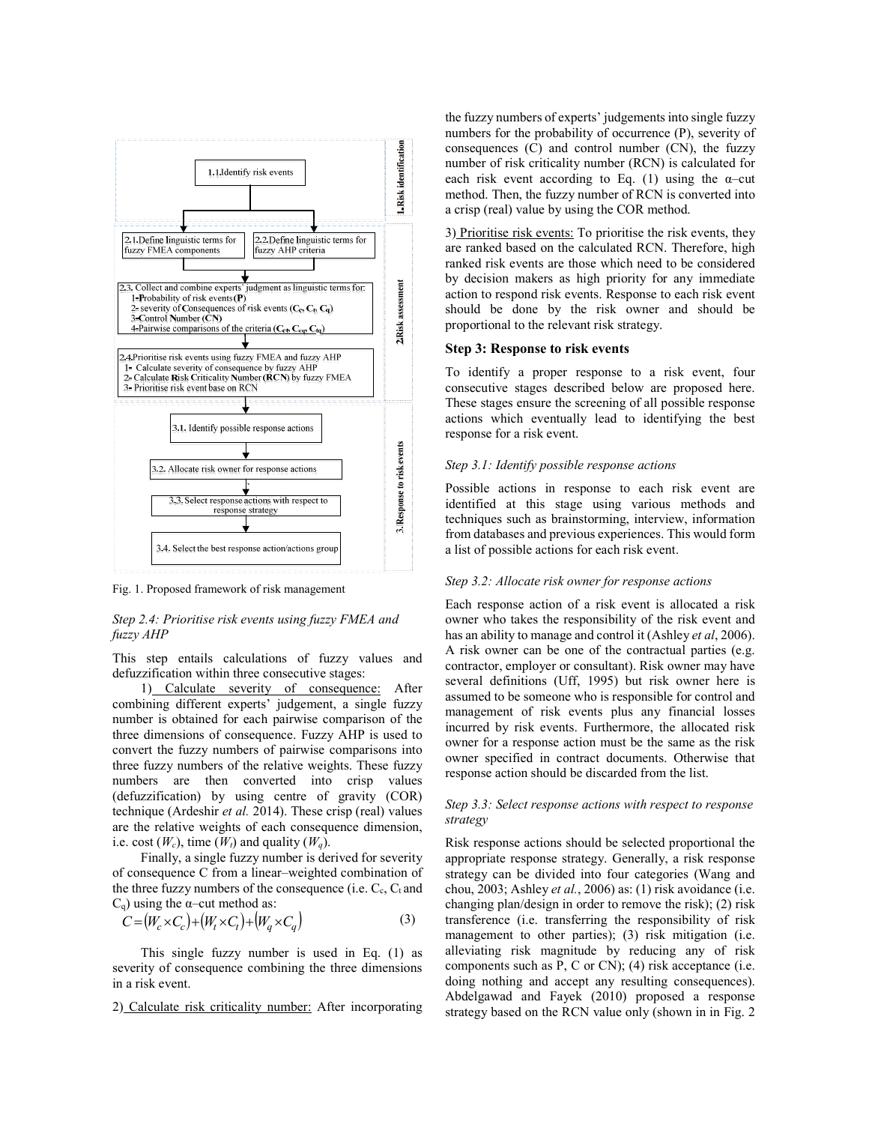

Fig. 1. Proposed framework of risk management

## *Step 2.4: Prioritise risk events using fuzzy FMEA and fuzzy AHP*

This step entails calculations of fuzzy values and defuzzification within three consecutive stages:

1) Calculate severity of consequence: After combining different experts' judgement, a single fuzzy number is obtained for each pairwise comparison of the three dimensions of consequence. Fuzzy AHP is used to convert the fuzzy numbers of pairwise comparisons into three fuzzy numbers of the relative weights. These fuzzy numbers are then converted into crisp values (defuzzification) by using centre of gravity (COR) technique (Ardeshir *et al.* 2014). These crisp (real) values are the relative weights of each consequence dimension, i.e. cost  $(W_c)$ , time  $(W_t)$  and quality  $(W_q)$ .

Finally, a single fuzzy number is derived for severity of consequence C from a linear–weighted combination of the three fuzzy numbers of the consequence (i.e.  $C_c$ ,  $C_t$  and  $C_q$ ) using the  $\alpha$ -cut method as:

$$
C = (W_c \times C_c) + (W_t \times C_t) + (W_q \times C_q)
$$
\n(3)

This single fuzzy number is used in Eq. (1) as severity of consequence combining the three dimensions in a risk event.

2) Calculate risk criticality number: After incorporating

the fuzzy numbers of experts' judgements into single fuzzy numbers for the probability of occurrence (P), severity of consequences  $(C)$  and control number  $(CN)$ , the fuzzy number of risk criticality number (RCN) is calculated for each risk event according to Eq. (1) using the  $\alpha$ -cut method. Then, the fuzzy number of RCN is converted into a crisp (real) value by using the COR method.

3) Prioritise risk events: To prioritise the risk events, they are ranked based on the calculated RCN. Therefore, high ranked risk events are those which need to be considered by decision makers as high priority for any immediate action to respond risk events. Response to each risk event should be done by the risk owner and should be proportional to the relevant risk strategy.

### **Step 3: Response to risk events**

To identify a proper response to a risk event, four consecutive stages described below are proposed here. These stages ensure the screening of all possible response actions which eventually lead to identifying the best response for a risk event.

## *Step 3.1: Identify possible response actions*

Possible actions in response to each risk event are identified at this stage using various methods and techniques such as brainstorming, interview, information from databases and previous experiences. This would form a list of possible actions for each risk event.

### *Step 3.2: Allocate risk owner for response actions*

Each response action of a risk event is allocated a risk owner who takes the responsibility of the risk event and has an ability to manage and control it (Ashley *et al*, 2006). A risk owner can be one of the contractual parties (e.g. contractor, employer or consultant). Risk owner may have several definitions (Uff, 1995) but risk owner here is assumed to be someone who is responsible for control and management of risk events plus any financial losses incurred by risk events. Furthermore, the allocated risk owner for a response action must be the same as the risk owner specified in contract documents. Otherwise that response action should be discarded from the list.

### *Step 3.3: Select response actions with respect to response strategy*

Risk response actions should be selected proportional the appropriate response strategy. Generally, a risk response strategy can be divided into four categories (Wang and chou, 2003; Ashley *et al.*, 2006) as: (1) risk avoidance (i.e. changing plan/design in order to remove the risk); (2) risk transference (i.e. transferring the responsibility of risk management to other parties); (3) risk mitigation (i.e. alleviating risk magnitude by reducing any of risk components such as  $P$ ,  $C$  or  $CN$ ; (4) risk acceptance (i.e. doing nothing and accept any resulting consequences). Abdelgawad and Fayek (2010) proposed a response strategy based on the RCN value only (shown in in Fig. 2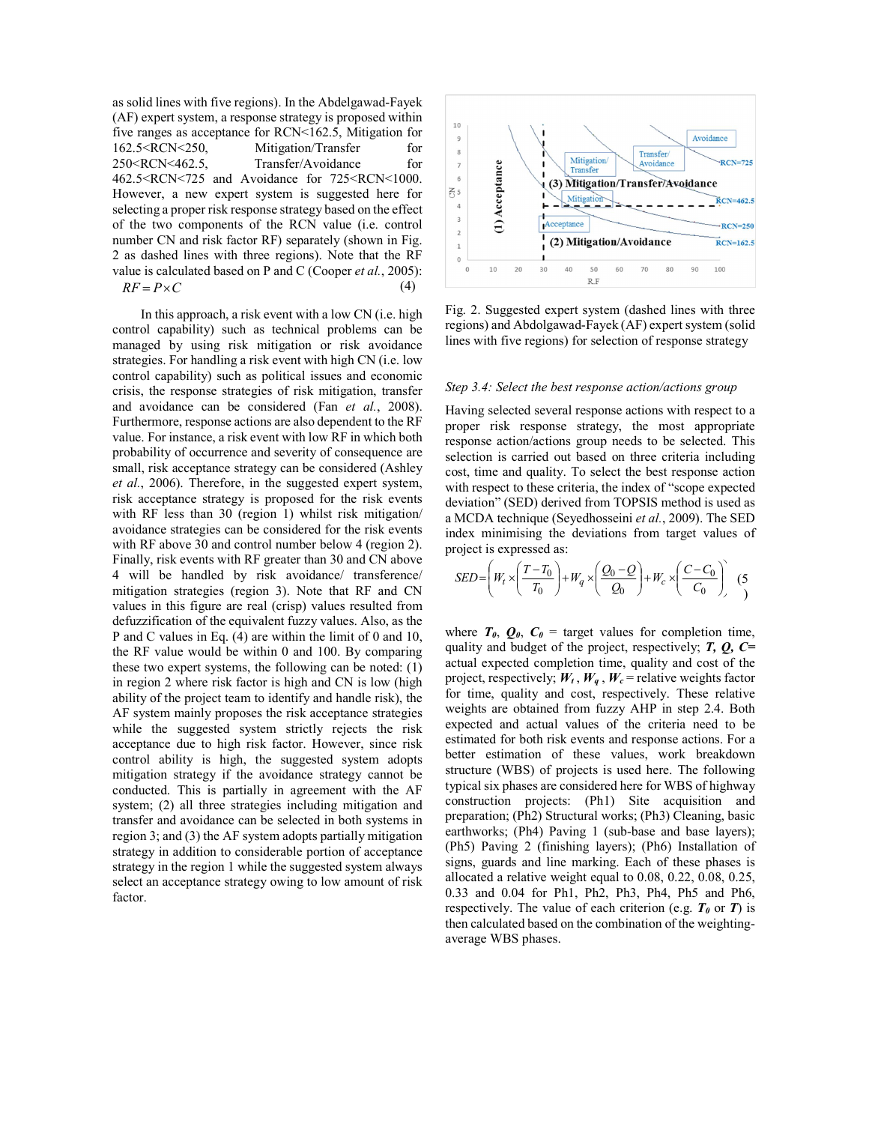as solid lines with five regions). In the Abdelgawad-Fayek (AF) expert system, a response strategy is proposed within five ranges as acceptance for RCN<162.5, Mitigation for 162.5<RCN<250, Mitigation/Transfer for 250<RCN<462.5, Transfer/Avoidance for 462.5<RCN<725 and Avoidance for 725<RCN<1000. However, a new expert system is suggested here for selecting a proper risk response strategy based on the effect of the two components of the RCN value (i.e. control number CN and risk factor RF) separately (shown in Fig. 2 as dashed lines with three regions). Note that the RF value is calculated based on P and C (Cooper *et al.*, 2005):  $RF = P \times C$ 

In this approach, a risk event with a low CN (i.e. high control capability) such as technical problems can be managed by using risk mitigation or risk avoidance strategies. For handling a risk event with high CN (i.e. low control capability) such as political issues and economic crisis, the response strategies of risk mitigation, transfer and avoidance can be considered (Fan *et al.*, 2008). Furthermore, response actions are also dependent to the RF value. For instance, a risk event with low RF in which both probability of occurrence and severity of consequence are small, risk acceptance strategy can be considered (Ashley *et al.*, 2006). Therefore, in the suggested expert system, risk acceptance strategy is proposed for the risk events with RF less than 30 (region 1) whilst risk mitigation/ avoidance strategies can be considered for the risk events with RF above 30 and control number below 4 (region 2). Finally, risk events with RF greater than 30 and CN above 4 will be handled by risk avoidance/ transference/ mitigation strategies (region 3). Note that RF and CN values in this figure are real (crisp) values resulted from defuzzification of the equivalent fuzzy values. Also, as the P and C values in Eq. (4) are within the limit of 0 and 10, the RF value would be within 0 and 100. By comparing these two expert systems, the following can be noted: (1) in region 2 where risk factor is high and CN is low (high ability of the project team to identify and handle risk), the AF system mainly proposes the risk acceptance strategies while the suggested system strictly rejects the risk acceptance due to high risk factor. However, since risk control ability is high, the suggested system adopts mitigation strategy if the avoidance strategy cannot be conducted. This is partially in agreement with the AF system; (2) all three strategies including mitigation and transfer and avoidance can be selected in both systems in region 3; and (3) the AF system adopts partially mitigation strategy in addition to considerable portion of acceptance strategy in the region 1 while the suggested system always select an acceptance strategy owing to low amount of risk factor.



Fig. 2. Suggested expert system (dashed lines with three regions) and Abdolgawad-Fayek (AF) expert system (solid lines with five regions) for selection of response strategy

#### *Step 3.4: Select the best response action/actions group*

Having selected several response actions with respect to a proper risk response strategy, the most appropriate response action/actions group needs to be selected. This selection is carried out based on three criteria including cost, time and quality. To select the best response action with respect to these criteria, the index of "scope expected deviation" (SED) derived from TOPSIS method is used as a MCDA technique (Seyedhosseini *et al.*, 2009). The SED index minimising the deviations from target values of project is expressed as:

$$
SED = \left(W_t \times \left(\frac{T - T_0}{T_0}\right) + W_q \times \left(\frac{Q_0 - Q}{Q_0}\right) + W_c \times \left(\frac{C - C_0}{C_0}\right)\right) \tag{5}
$$

where  $T_0$ ,  $Q_0$ ,  $C_0$  = target values for completion time, quality and budget of the project, respectively; *T, Q, C=*  actual expected completion time, quality and cost of the project, respectively;  $W_t$ ,  $W_q$ ,  $W_c$  = relative weights factor for time, quality and cost, respectively. These relative weights are obtained from fuzzy AHP in step 2.4. Both expected and actual values of the criteria need to be estimated for both risk events and response actions. For a better estimation of these values, work breakdown structure (WBS) of projects is used here. The following typical six phases are considered here for WBS of highway construction projects: (Ph1) Site acquisition and preparation; (Ph2) Structural works; (Ph3) Cleaning, basic earthworks; (Ph4) Paving 1 (sub-base and base layers); (Ph5) Paving 2 (finishing layers); (Ph6) Installation of signs, guards and line marking. Each of these phases is allocated a relative weight equal to 0.08, 0.22, 0.08, 0.25, 0.33 and 0.04 for Ph1, Ph2, Ph3, Ph4, Ph5 and Ph6, respectively. The value of each criterion (e.g.  $T_0$  or  $T$ ) is then calculated based on the combination of the weightingaverage WBS phases.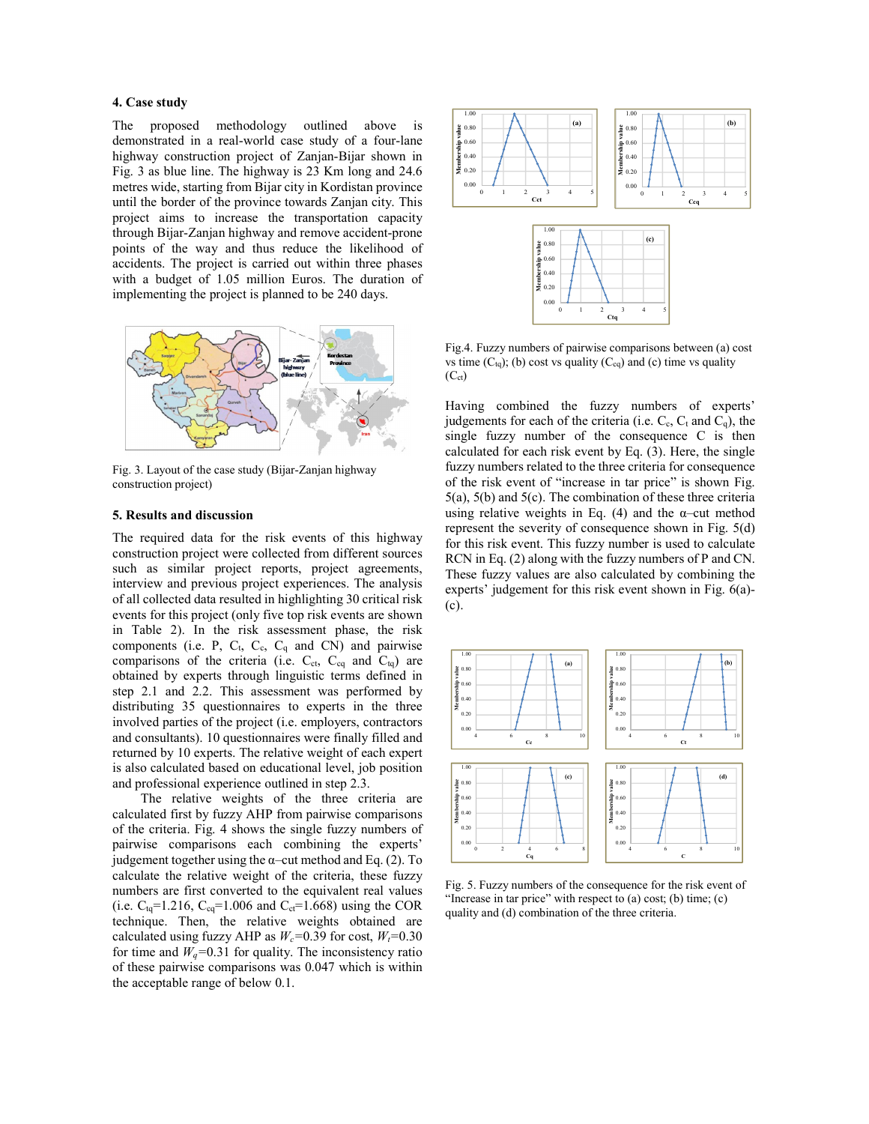## **4. Case study**

The proposed methodology outlined above is demonstrated in a real-world case study of a four-lane highway construction project of Zanjan-Bijar shown in Fig. 3 as blue line. The highway is 23 Km long and 24.6 metres wide, starting from Bijar city in Kordistan province until the border of the province towards Zanjan city. This project aims to increase the transportation capacity through Bijar-Zanjan highway and remove accident-prone points of the way and thus reduce the likelihood of accidents. The project is carried out within three phases with a budget of 1.05 million Euros. The duration of implementing the project is planned to be 240 days.



Fig. 3. Layout of the case study (Bijar-Zanjan highway construction project)

### **5. Results and discussion**

The required data for the risk events of this highway construction project were collected from different sources such as similar project reports, project agreements, interview and previous project experiences. The analysis of all collected data resulted in highlighting 30 critical risk events for this project (only five top risk events are shown in Table 2). In the risk assessment phase, the risk components (i.e. P,  $C_t$ ,  $C_c$ ,  $C_q$  and  $CN$ ) and pairwise comparisons of the criteria (i.e.  $C_{ct}$ ,  $C_{cq}$  and  $C_{tq}$ ) are obtained by experts through linguistic terms defined in step 2.1 and 2.2. This assessment was performed by distributing 35 questionnaires to experts in the three involved parties of the project (i.e. employers, contractors and consultants). 10 questionnaires were finally filled and returned by 10 experts. The relative weight of each expert is also calculated based on educational level, job position and professional experience outlined in step 2.3.

The relative weights of the three criteria are calculated first by fuzzy AHP from pairwise comparisons of the criteria. Fig. 4 shows the single fuzzy numbers of pairwise comparisons each combining the experts' judgement together using the  $\alpha$ -cut method and Eq. (2). To calculate the relative weight of the criteria, these fuzzy numbers are first converted to the equivalent real values (i.e.  $C_{\text{tq}}$ =1.216,  $C_{\text{cq}}$ =1.006 and  $C_{\text{ct}}$ =1.668) using the COR technique. Then, the relative weights obtained are calculated using fuzzy AHP as  $W_c$ =0.39 for cost,  $W_t$ =0.30 for time and  $W_q$ =0.31 for quality. The inconsistency ratio of these pairwise comparisons was 0.047 which is within the acceptable range of below 0.1.



Fig.4. Fuzzy numbers of pairwise comparisons between (a) cost vs time  $(C_{tq})$ ; (b) cost vs quality  $(C_{cq})$  and (c) time vs quality  $(C_{ct})$ 

Having combined the fuzzy numbers of experts' judgements for each of the criteria (i.e.  $C_c$ ,  $C_t$  and  $C_q$ ), the single fuzzy number of the consequence C is then calculated for each risk event by Eq. (3). Here, the single fuzzy numbers related to the three criteria for consequence of the risk event of "increase in tar price" is shown Fig. 5(a), 5(b) and 5(c). The combination of these three criteria using relative weights in Eq.  $(4)$  and the α–cut method represent the severity of consequence shown in Fig. 5(d) for this risk event. This fuzzy number is used to calculate RCN in Eq. (2) along with the fuzzy numbers of P and CN. These fuzzy values are also calculated by combining the experts' judgement for this risk event shown in Fig. 6(a)- (c).



Fig. 5. Fuzzy numbers of the consequence for the risk event of "Increase in tar price" with respect to (a) cost; (b) time; (c) quality and (d) combination of the three criteria.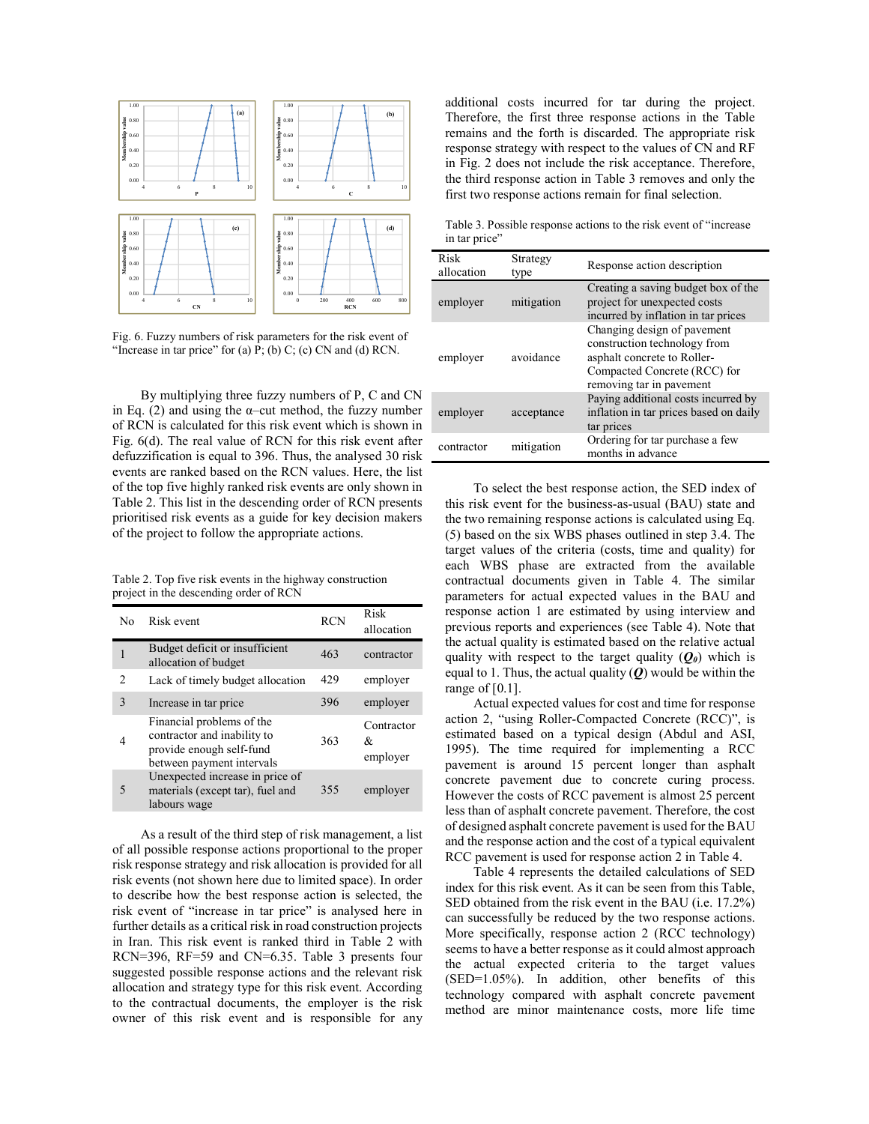

Fig. 6. Fuzzy numbers of risk parameters for the risk event of "Increase in tar price" for (a)  $\overline{P}$ ; (b) C; (c) CN and (d) RCN.

By multiplying three fuzzy numbers of P, C and CN in Eq. (2) and using the  $\alpha$ -cut method, the fuzzy number of RCN is calculated for this risk event which is shown in Fig. 6(d). The real value of RCN for this risk event after defuzzification is equal to 396. Thus, the analysed 30 risk events are ranked based on the RCN values. Here, the list of the top five highly ranked risk events are only shown in Table 2. This list in the descending order of RCN presents prioritised risk events as a guide for key decision makers of the project to follow the appropriate actions.

Table 2. Top five risk events in the highway construction project in the descending order of RCN

| No                       | Risk event                                                                                                        | <b>RCN</b> | Risk<br>allocation          |
|--------------------------|-------------------------------------------------------------------------------------------------------------------|------------|-----------------------------|
| 1                        | Budget deficit or insufficient<br>allocation of budget                                                            | 463        | contractor                  |
| $\mathfrak{D}$           | Lack of timely budget allocation                                                                                  | 429        | employer                    |
| $\mathbf{3}$             | Increase in tar price                                                                                             | 396        | employer                    |
| 4                        | Financial problems of the<br>contractor and inability to<br>provide enough self-fund<br>between payment intervals | 363        | Contractor<br>&<br>employer |
| $\overline{\mathcal{L}}$ | Unexpected increase in price of<br>materials (except tar), fuel and<br>labours wage                               | 355        | employer                    |

As a result of the third step of risk management, a list of all possible response actions proportional to the proper risk response strategy and risk allocation is provided for all risk events (not shown here due to limited space). In order to describe how the best response action is selected, the risk event of "increase in tar price" is analysed here in further details as a critical risk in road construction projects in Iran. This risk event is ranked third in Table 2 with RCN=396, RF=59 and CN=6.35. Table 3 presents four suggested possible response actions and the relevant risk allocation and strategy type for this risk event. According to the contractual documents, the employer is the risk owner of this risk event and is responsible for any additional costs incurred for tar during the project. Therefore, the first three response actions in the Table remains and the forth is discarded. The appropriate risk response strategy with respect to the values of CN and RF in Fig. 2 does not include the risk acceptance. Therefore, the third response action in Table 3 removes and only the first two response actions remain for final selection.

Table 3. Possible response actions to the risk event of "increase in tar price"

| Risk<br>allocation | Strategy<br>type | Response action description                                                                                                                            |
|--------------------|------------------|--------------------------------------------------------------------------------------------------------------------------------------------------------|
| employer           | mitigation       | Creating a saving budget box of the<br>project for unexpected costs<br>incurred by inflation in tar prices                                             |
| employer           | avoidance        | Changing design of pavement<br>construction technology from<br>asphalt concrete to Roller-<br>Compacted Concrete (RCC) for<br>removing tar in pavement |
| employer           | acceptance       | Paying additional costs incurred by<br>inflation in tar prices based on daily<br>tar prices                                                            |
| contractor         | mitigation       | Ordering for tar purchase a few<br>months in advance                                                                                                   |

To select the best response action, the SED index of this risk event for the business-as-usual (BAU) state and the two remaining response actions is calculated using Eq. (5) based on the six WBS phases outlined in step 3.4. The target values of the criteria (costs, time and quality) for each WBS phase are extracted from the available contractual documents given in Table 4. The similar parameters for actual expected values in the BAU and response action 1 are estimated by using interview and previous reports and experiences (see Table 4). Note that the actual quality is estimated based on the relative actual quality with respect to the target quality  $(Q_0)$  which is equal to 1. Thus, the actual quality (*Q*) would be within the range of  $[0.1]$ .

Actual expected values for cost and time for response action 2, "using Roller-Compacted Concrete (RCC)", is estimated based on a typical design (Abdul and ASI, 1995). The time required for implementing a RCC pavement is around 15 percent longer than asphalt concrete pavement due to concrete curing process. However the costs of RCC pavement is almost 25 percent less than of asphalt concrete pavement. Therefore, the cost of designed asphalt concrete pavement is used for the BAU and the response action and the cost of a typical equivalent RCC pavement is used for response action 2 in Table 4.

Table 4 represents the detailed calculations of SED index for this risk event. As it can be seen from this Table, SED obtained from the risk event in the BAU (i.e. 17.2%) can successfully be reduced by the two response actions. More specifically, response action 2 (RCC technology) seems to have a better response as it could almost approach the actual expected criteria to the target values (SED=1.05%). In addition, other benefits of this technology compared with asphalt concrete pavement method are minor maintenance costs, more life time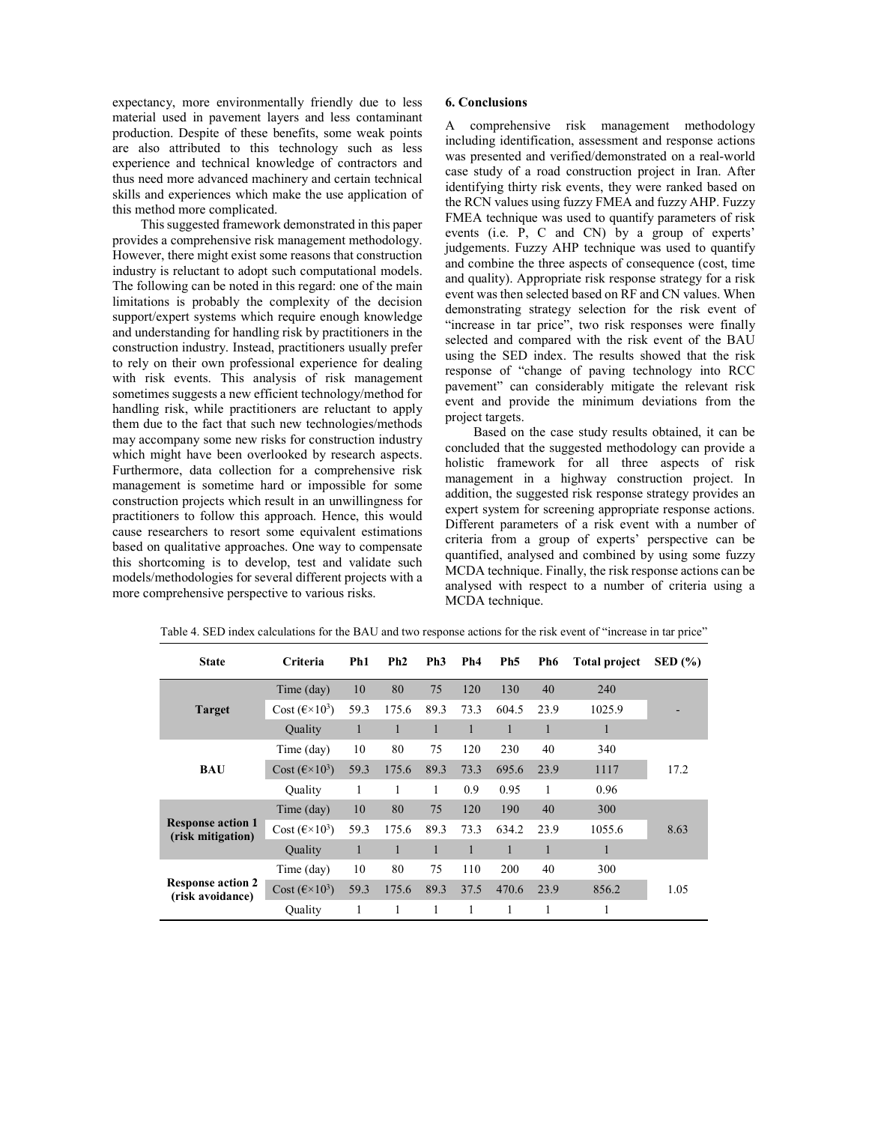expectancy, more environmentally friendly due to less material used in pavement layers and less contaminant production. Despite of these benefits, some weak points are also attributed to this technology such as less experience and technical knowledge of contractors and thus need more advanced machinery and certain technical skills and experiences which make the use application of this method more complicated.

This suggested framework demonstrated in this paper provides a comprehensive risk management methodology. However, there might exist some reasons that construction industry is reluctant to adopt such computational models. The following can be noted in this regard: one of the main limitations is probably the complexity of the decision support/expert systems which require enough knowledge and understanding for handling risk by practitioners in the construction industry. Instead, practitioners usually prefer to rely on their own professional experience for dealing with risk events. This analysis of risk management sometimes suggests a new efficient technology/method for handling risk, while practitioners are reluctant to apply them due to the fact that such new technologies/methods may accompany some new risks for construction industry which might have been overlooked by research aspects. Furthermore, data collection for a comprehensive risk management is sometime hard or impossible for some construction projects which result in an unwillingness for practitioners to follow this approach. Hence, this would cause researchers to resort some equivalent estimations based on qualitative approaches. One way to compensate this shortcoming is to develop, test and validate such models/methodologies for several different projects with a more comprehensive perspective to various risks.

## **6. Conclusions**

A comprehensive risk management methodology including identification, assessment and response actions was presented and verified/demonstrated on a real-world case study of a road construction project in Iran. After identifying thirty risk events, they were ranked based on the RCN values using fuzzy FMEA and fuzzy AHP. Fuzzy FMEA technique was used to quantify parameters of risk events (i.e. P, C and CN) by a group of experts' judgements. Fuzzy AHP technique was used to quantify and combine the three aspects of consequence (cost, time and quality). Appropriate risk response strategy for a risk event was then selected based on RF and CN values. When demonstrating strategy selection for the risk event of "increase in tar price", two risk responses were finally selected and compared with the risk event of the BAU using the SED index. The results showed that the risk response of "change of paving technology into RCC pavement" can considerably mitigate the relevant risk event and provide the minimum deviations from the project targets.

Based on the case study results obtained, it can be concluded that the suggested methodology can provide a holistic framework for all three aspects of risk management in a highway construction project. In addition, the suggested risk response strategy provides an expert system for screening appropriate response actions. Different parameters of a risk event with a number of criteria from a group of experts' perspective can be quantified, analysed and combined by using some fuzzy MCDA technique. Finally, the risk response actions can be analysed with respect to a number of criteria using a MCDA technique.

| <b>State</b>                                  | <b>Criteria</b>               | Ph <sub>1</sub> | Ph2          | Ph <sub>3</sub> | Ph <sub>4</sub> | Ph <sub>5</sub> | Ph6  | <b>Total project</b> | $\text{SED}(\% )$ |
|-----------------------------------------------|-------------------------------|-----------------|--------------|-----------------|-----------------|-----------------|------|----------------------|-------------------|
|                                               | Time (day)                    | 10              | 80           | 75              | 120             | 130             | 40   | 240                  |                   |
| <b>Target</b>                                 | Cost $(\epsilon \times 10^3)$ | 59.3            | 175.6        | 89.3            | 73.3            | 604.5           | 23.9 | 1025.9               |                   |
|                                               | <b>Quality</b>                | $\mathbf{1}$    | $\mathbf{1}$ | $\mathbf{1}$    | $\mathbf{1}$    | $\mathbf{1}$    | 1    |                      |                   |
|                                               | Time (day)                    | 10              | 80           | 75              | 120             | 230             | 40   | 340                  | 17.2              |
| <b>BAU</b>                                    | Cost $(\epsilon \times 10^3)$ | 59.3            | 175.6        | 89.3            | 73.3            | 695.6           | 23.9 | 1117                 |                   |
|                                               | Ouality                       | 1               | 1            | 1               | 0.9             | 0.95            | 1    | 0.96                 |                   |
|                                               | Time (day)                    | 10              | 80           | 75              | 120             | 190             | 40   | 300                  |                   |
| <b>Response action 1</b><br>(risk mitigation) | Cost $(\epsilon \times 10^3)$ | 59.3            | 175.6        | 89.3            | 73.3            | 634.2           | 23.9 | 1055.6               | 8.63              |
|                                               | Quality                       | $\mathbf{1}$    | 1            | $\mathbf{1}$    | $\mathbf{1}$    | $\mathbf{1}$    |      |                      |                   |
|                                               | Time (day)                    | 10              | 80           | 75              | 110             | 200             | 40   | 300                  |                   |
| <b>Response action 2</b><br>(risk avoidance)  | Cost $(\epsilon \times 10^3)$ | 59.3            | 175.6        | 89.3            | 37.5            | 470.6           | 23.9 | 856.2                | 1.05              |
|                                               | Ouality                       | 1               | 1            | 1               | 1               | 1               |      |                      |                   |

Table 4. SED index calculations for the BAU and two response actions for the risk event of "increase in tar price"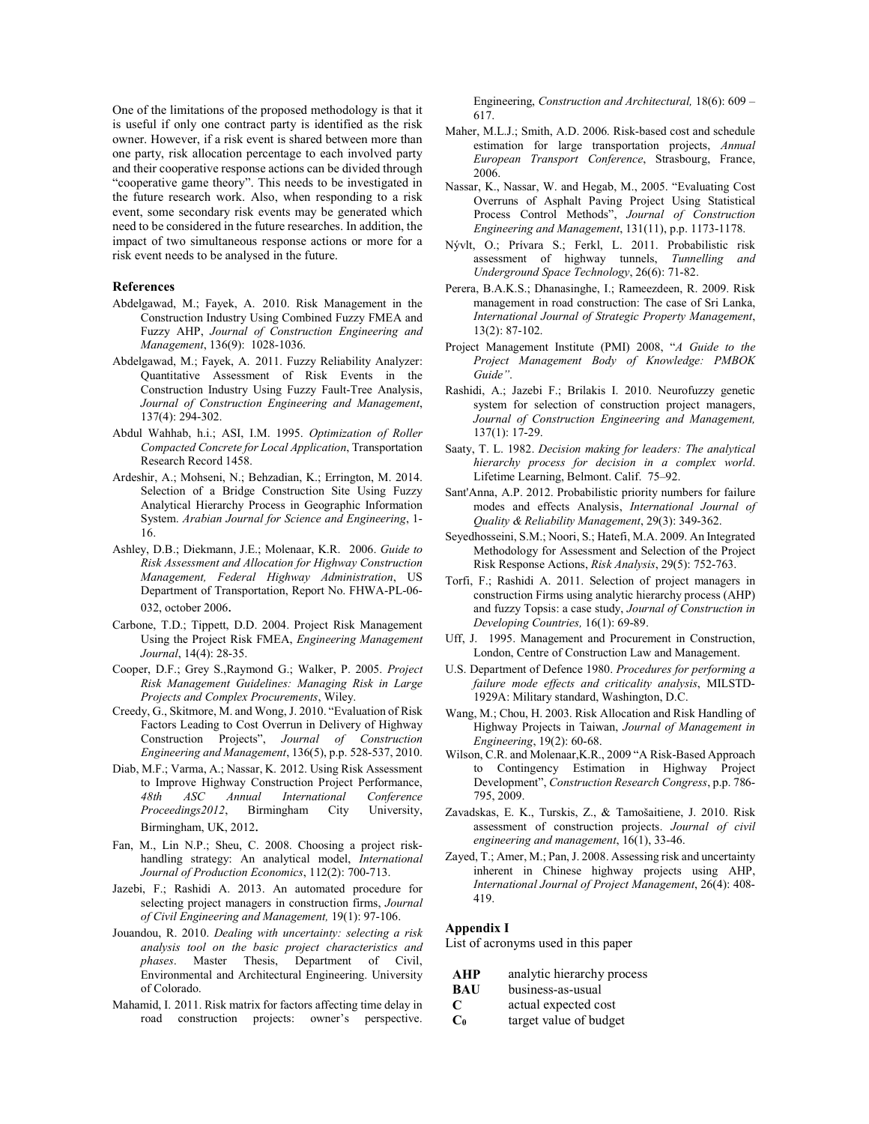One of the limitations of the proposed methodology is that it is useful if only one contract party is identified as the risk owner. However, if a risk event is shared between more than one party, risk allocation percentage to each involved party and their cooperative response actions can be divided through "cooperative game theory". This needs to be investigated in the future research work. Also, when responding to a risk event, some secondary risk events may be generated which need to be considered in the future researches. In addition, the impact of two simultaneous response actions or more for a risk event needs to be analysed in the future.

#### **References**

- Abdelgawad, M.; Fayek, A. 2010. Risk Management in the Construction Industry Using Combined Fuzzy FMEA and Fuzzy AHP, *Journal of Construction Engineering and Management*, 136(9): 1028-1036.
- Abdelgawad, M.; Fayek, A. 2011. Fuzzy Reliability Analyzer: Quantitative Assessment of Risk Events in the Construction Industry Using Fuzzy Fault-Tree Analysis, *Journal of Construction Engineering and Management*, 137(4): 294-302.
- Abdul Wahhab, h.i.; ASI, I.M. 1995. *Optimization of Roller Compacted Concrete for Local Application*, Transportation Research Record 1458.
- Ardeshir, A.; Mohseni, N.; Behzadian, K.; Errington, M. 2014. Selection of a Bridge Construction Site Using Fuzzy Analytical Hierarchy Process in Geographic Information System. *Arabian Journal for Science and Engineering*, 1- 16.
- Ashley, D.B.; Diekmann, J.E.; Molenaar, K.R. 2006. *Guide to Risk Assessment and Allocation for Highway Construction Management, Federal Highway Administration*, US Department of Transportation, Report No. FHWA-PL-06- 032, october 2006.
- Carbone, T.D.; Tippett, D.D. 2004. Project Risk Management Using the Project Risk FMEA, *Engineering Management Journal*, 14(4): 28-35.
- Cooper, D.F.; Grey S.,Raymond G.; Walker, P. 2005. *Project Risk Management Guidelines: Managing Risk in Large Projects and Complex Procurements*, Wiley.
- Creedy, G., Skitmore, M. and Wong, J. 2010. "Evaluation of Risk Factors Leading to Cost Overrun in Delivery of Highway Construction Projects", *Journal of Construction Engineering and Management*, 136(5), p.p. 528-537, 2010.
- Diab, M.F.; Varma, A.; Nassar, K. 2012. Using Risk Assessment to Improve Highway Construction Project Performance, *48th ASC Annual International Conference Proceedings2012*, Birmingham City University, Birmingham, UK, 2012.
- Fan, M., Lin N.P.; Sheu, C. 2008. Choosing a project riskhandling strategy: An analytical model, *International Journal of Production Economics*, 112(2): 700-713.
- Jazebi, F.; Rashidi A. 2013. An automated procedure for selecting project managers in construction firms, *Journal of Civil Engineering and Management,* 19(1): 97-106.
- Jouandou, R. 2010. *Dealing with uncertainty: selecting a risk analysis tool on the basic project characteristics and phases*. Master Thesis, Department of Civil, Environmental and Architectural Engineering. University of Colorado.
- Mahamid, I. 2011. Risk matrix for factors affecting time delay in road construction projects: owner's perspective.

Engineering, *Construction and Architectural,* 18(6): 609 – 617.

- Maher, M.L.J.; Smith, A.D. 2006. Risk-based cost and schedule estimation for large transportation projects, *Annual European Transport Conference*, Strasbourg, France, 2006.
- Nassar, K., Nassar, W. and Hegab, M., 2005. "Evaluating Cost Overruns of Asphalt Paving Project Using Statistical Process Control Methods", *Journal of Construction Engineering and Management*, 131(11), p.p. 1173-1178.
- Nývlt, O.; Prívara S.; Ferkl, L. 2011. Probabilistic risk assessment of highway tunnels, *Tunnelling and Underground Space Technology*, 26(6): 71-82.
- Perera, B.A.K.S.; Dhanasinghe, I.; Rameezdeen, R. 2009. Risk management in road construction: The case of Sri Lanka, *International Journal of Strategic Property Management*, 13(2): 87-102.
- Project Management Institute (PMI) 2008, "*A Guide to the Project Management Body of Knowledge: PMBOK Guide"*.
- Rashidi, A.; Jazebi F.; Brilakis I. 2010. Neurofuzzy genetic system for selection of construction project managers, *Journal of Construction Engineering and Management,* 137(1): 17-29.
- Saaty, T. L. 1982. *Decision making for leaders: The analytical hierarchy process for decision in a complex world*. Lifetime Learning, Belmont. Calif. 75–92.
- Sant'Anna, A.P. 2012. Probabilistic priority numbers for failure modes and effects Analysis, *International Journal of Quality & Reliability Management*, 29(3): 349-362.
- Seyedhosseini, S.M.; Noori, S.; Hatefi, M.A. 2009. An Integrated Methodology for Assessment and Selection of the Project Risk Response Actions, *Risk Analysis*, 29(5): 752-763.
- Torfi, F.; Rashidi A. 2011. Selection of project managers in construction Firms using analytic hierarchy process (AHP) and fuzzy Topsis: a case study, *Journal of Construction in Developing Countries,* 16(1): 69-89.
- Uff, J. 1995. Management and Procurement in Construction, London, Centre of Construction Law and Management.
- U.S. Department of Defence 1980. *Procedures for performing a failure mode effects and criticality analysis*, MILSTD-1929A: Military standard, Washington, D.C.
- Wang, M.; Chou, H. 2003. Risk Allocation and Risk Handling of Highway Projects in Taiwan, *Journal of Management in Engineering*, 19(2): 60-68.
- Wilson, C.R. and Molenaar,K.R., 2009 "A Risk-Based Approach to Contingency Estimation in Highway Project Development", *Construction Research Congress*, p.p. 786- 795, 2009.
- Zavadskas, E. K., Turskis, Z., & Tamošaitiene, J. 2010. Risk assessment of construction projects. *Journal of civil engineering and management*, 16(1), 33-46.
- Zayed, T.; Amer, M.; Pan, J. 2008. Assessing risk and uncertainty inherent in Chinese highway projects using AHP, *International Journal of Project Management*, 26(4): 408- 419.

#### **Appendix I**

List of acronyms used in this paper

**AHP** analytic hierarchy process

- **BAU** business-as-usual
- **C** actual expected cost
- **C0** target value of budget